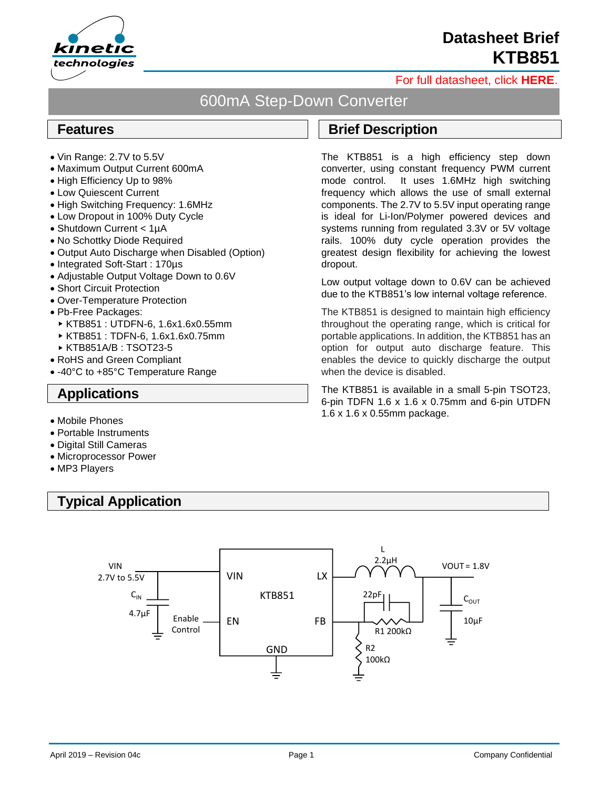

# **Datasheet Brief KTB851**

#### [For full datasheet, click](https://www.kinet-ic.com/sample-buy/request-document/?part=KTB851%20Full%20Datasheet) **HERE**.

### 600mA Step-Down Converter

Ξ

#### **Features**

- Vin Range: 2.7V to 5.5V
- Maximum Output Current 600mA
- High Efficiency Up to 98%
- Low Quiescent Current
- High Switching Frequency: 1.6MHz
- Low Dropout in 100% Duty Cycle
- Shutdown Current < 1uA
- No Schottky Diode Required
- Output Auto Discharge when Disabled (Option)
- Integrated Soft-Start : 170µs
- Adjustable Output Voltage Down to 0.6V
- Short Circuit Protection
- Over-Temperature Protection
- Pb-Free Packages:
	- KTB851 : UTDFN-6, 1.6x1.6x0.55mm
	- KTB851 : TDFN-6, 1.6x1.6x0.75mm
- KTB851A/B : TSOT23-5
- RoHS and Green Compliant
- -40°C to +85°C Temperature Range

### **Applications**

- Mobile Phones
- Portable Instruments
- Digital Still Cameras
- Microprocessor Power
- MP3 Players

## **Typical Application**



### **Brief Description**

The KTB851 is a high efficiency step down converter, using constant frequency PWM current mode control. It uses 1.6MHz high switching frequency which allows the use of small external components. The 2.7V to 5.5V input operating range is ideal for Li-Ion/Polymer powered devices and systems running from regulated 3.3V or 5V voltage rails. 100% duty cycle operation provides the greatest design flexibility for achieving the lowest dropout.

Low output voltage down to 0.6V can be achieved due to the KTB851's low internal voltage reference.

The KTB851 is designed to maintain high efficiency throughout the operating range, which is critical for portable applications. In addition, the KTB851 has an option for output auto discharge feature. This enables the device to quickly discharge the output when the device is disabled.

The KTB851 is available in a small 5-pin TSOT23, 6-pin TDFN 1.6 x 1.6 x 0.75mm and 6-pin UTDFN 1.6 x 1.6 x 0.55mm package.